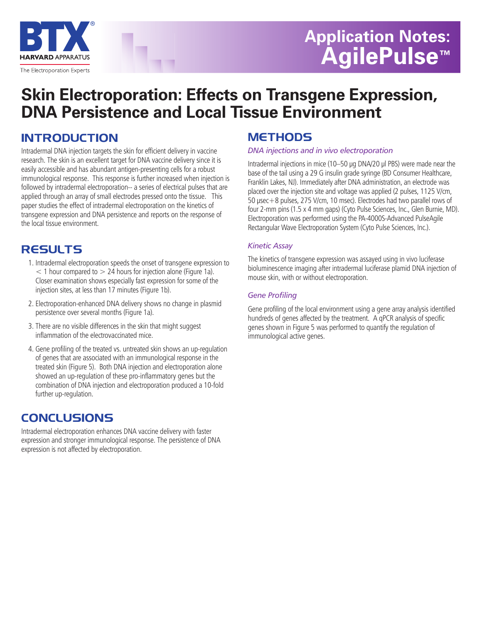

# **Application Notes: AgilePulse™**

## **Skin Electroporation: Effects on Transgene Expression, DNA Persistence and Local Tissue Environment**

## **INTRODUCTION**

Intradermal DNA injection targets the skin for efficient delivery in vaccine research. The skin is an excellent target for DNA vaccine delivery since it is easily accessible and has abundant antigen-presenting cells for a robust immunological response. This response is further increased when injection is followed by intradermal electroporation-- a series of electrical pulses that are applied through an array of small electrodes pressed onto the tissue. This paper studies the effect of intradermal electroporation on the kinetics of transgene expression and DNA persistence and reports on the response of the local tissue environment.

## **RESULTS**

- 1. Intradermal electroporation speeds the onset of transgene expression to  $<$  1 hour compared to  $>$  24 hours for injection alone (Figure 1a). Closer examination shows especially fast expression for some of the injection sites, at less than 17 minutes (Figure 1b).
- 2. Electroporation-enhanced DNA delivery shows no change in plasmid persistence over several months (Figure 1a).
- 3. There are no visible differences in the skin that might suggest inflammation of the electrovaccinated mice.
- 4. Gene profiling of the treated vs. untreated skin shows an up-regulation of genes that are associated with an immunological response in the treated skin (Figure 5). Both DNA injection and electroporation alone showed an up-regulation of these pro-inflammatory genes but the combination of DNA injection and electroporation produced a 10-fold further up-regulation.

### **CONCLUSIONS**

Intradermal electroporation enhances DNA vaccine delivery with faster expression and stronger immunological response. The persistence of DNA expression is not affected by electroporation.

### **METHODS**

#### *DNA injections and in vivo electroporation*

Intradermal injections in mice (10–50 **µ**g DNA/20 **µ**l PBS) were made near the base of the tail using a 29 G insulin grade syringe (BD Consumer Healthcare, Franklin Lakes, NJ). Immediately after DNA administration, an electrode was placed over the injection site and voltage was applied (2 pulses, 1125 V/cm, 50 **µ**sec+8 pulses, 275 V/cm, 10 msec). Electrodes had two parallel rows of four 2-mm pins (1.5 x 4 mm gaps) (Cyto Pulse Sciences, Inc., Glen Burnie, MD). Electroporation was performed using the PA-4000S-Advanced PulseAgile Rectangular Wave Electroporation System (Cyto Pulse Sciences, Inc.).

#### *Kinetic Assay*

The kinetics of transgene expression was assayed using in vivo luciferase bioluminescence imaging after intradermal luciferase plamid DNA injection of mouse skin, with or without electroporation.

#### *Gene Profiling*

Gene profiling of the local environment using a gene array analysis identified hundreds of genes affected by the treatment. A qPCR analysis of specific genes shown in Figure 5 was performed to quantify the regulation of immunological active genes.